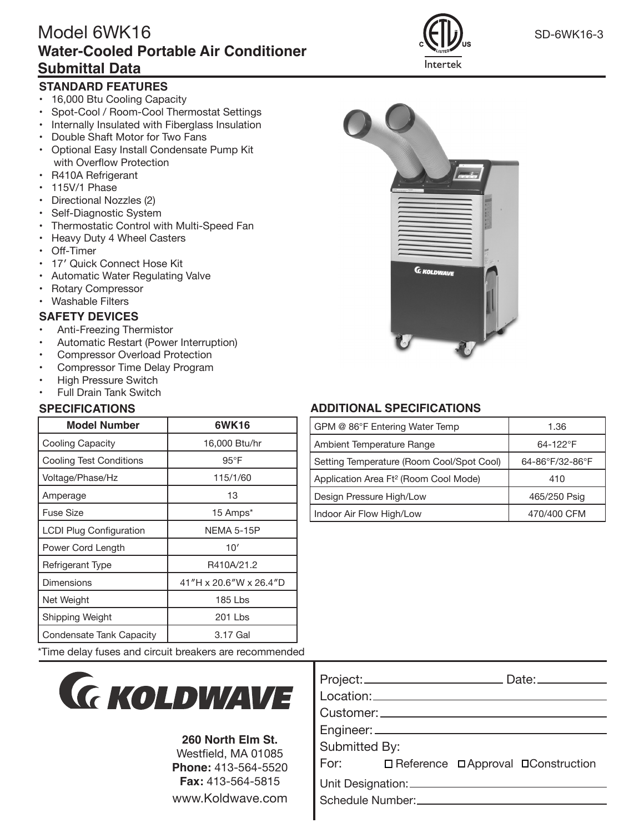# Model 6WK16SD-6WK16-3 **Water-Cooled Portable Air Conditioner Submittal Data**

## **STANDARD FEATURES**

- 16,000 Btu Cooling Capacity
- Spot-Cool / Room-Cool Thermostat Settings
- Internally Insulated with Fiberglass Insulation
- Double Shaft Motor for Two Fans
- Optional Easy Install Condensate Pump Kit with Overflow Protection
- R410A Refrigerant
- 115V/1 Phase
- Directional Nozzles (2)
- Self-Diagnostic System
- Thermostatic Control with Multi-Speed Fan
- Heavy Duty 4 Wheel Casters
- Off-Timer
- 17′ Quick Connect Hose Kit
- Automatic Water Regulating Valve
- Rotary Compressor
- Washable Filters

### **SAFETY DEVICES**

- Anti-Freezing Thermistor
- Automatic Restart (Power Interruption)
- Compressor Overload Protection
- Compressor Time Delay Program
- High Pressure Switch
- Full Drain Tank Switch

| <b>Model Number</b>            | 6WK16                  |
|--------------------------------|------------------------|
| Cooling Capacity               | 16,000 Btu/hr          |
| <b>Cooling Test Conditions</b> | $95^{\circ}$ F         |
| Voltage/Phase/Hz               | 115/1/60               |
| Amperage                       | 13                     |
| Fuse Size                      | 15 Amps*               |
| <b>LCDI Plug Configuration</b> | NEMA 5-15P             |
| Power Cord Length              | 10'                    |
| Refrigerant Type               | R410A/21.2             |
| Dimensions                     | 41"H x 20.6"W x 26.4"D |
| Net Weight                     | 185 Lbs                |
| Shipping Weight                | 201 Lbs                |
| Condensate Tank Capacity       | 3.17 Gal               |

\*Time delay fuses and circuit breakers are recommended



#### **260 North Elm St.**

Westfield, MA 01085 **Phone:** 413-564-5520 **Fax:** 413-564-5815 www.Koldwave.com







## **SPECIFICATIONS ADDITIONAL SPECIFICATIONS**

| GPM @ 86°F Entering Water Temp                    | 1.36            |
|---------------------------------------------------|-----------------|
| Ambient Temperature Range                         | $64 - 122$ °F   |
| Setting Temperature (Room Cool/Spot Cool)         | 64-86°F/32-86°F |
| Application Area Ft <sup>2</sup> (Room Cool Mode) | 410             |
| Design Pressure High/Low                          | 465/250 Psig    |
| Indoor Air Flow High/Low                          | 470/400 CFM     |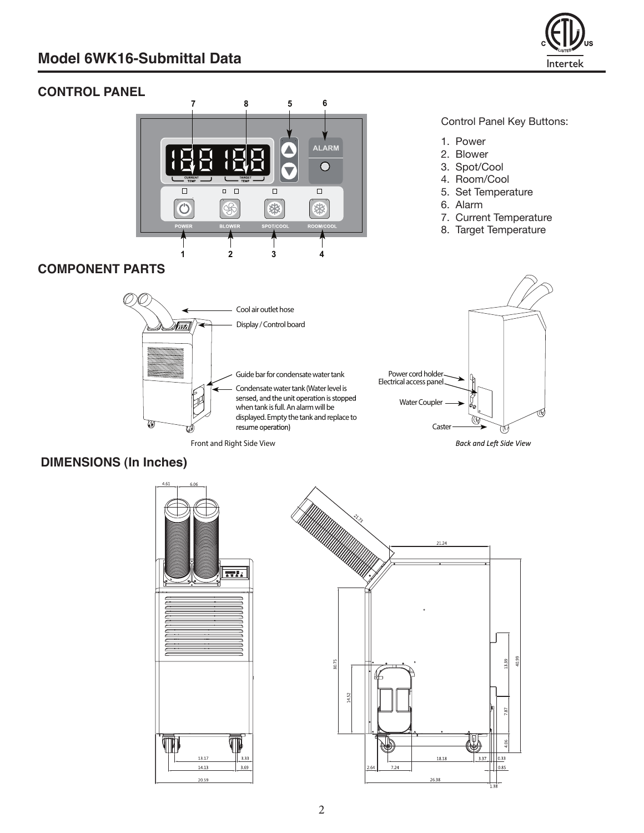

## **Control Panel CONTROL PANEL**



#### Control Panel Key Buttons:

- 1. Power
- 2. Blower
- 3. Spot/Cool
- 4. Room/Cool
- 5. Set Temperature
- 6. Alarm
- 7. Current Temperature
- 8. Target Temperature

## **COMPONENT PARTS**



## **DIMENSIONS (In Inches)**



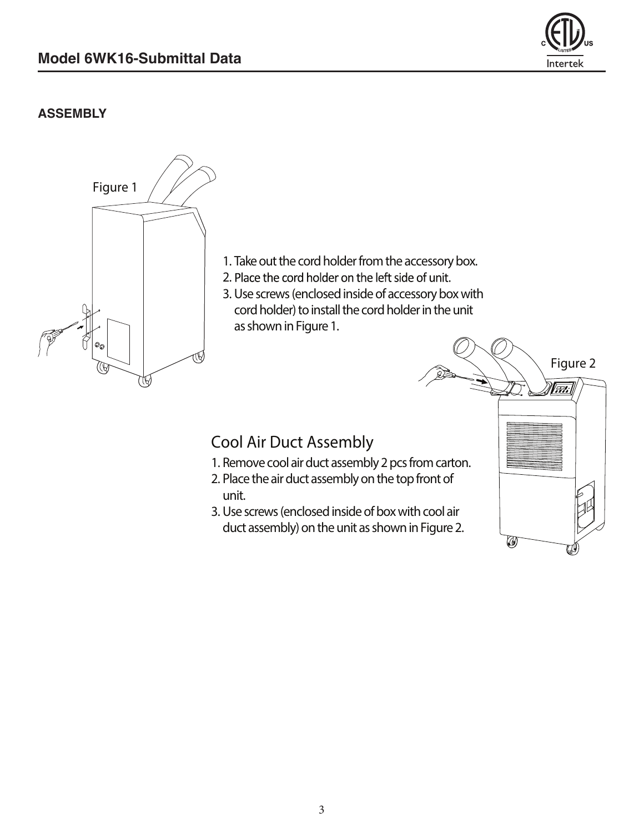

◎

## **ASSEMBLY**



3. Use screws (enclosed inside of box with cool air duct assembly) on the unit as shown in Figure 2.